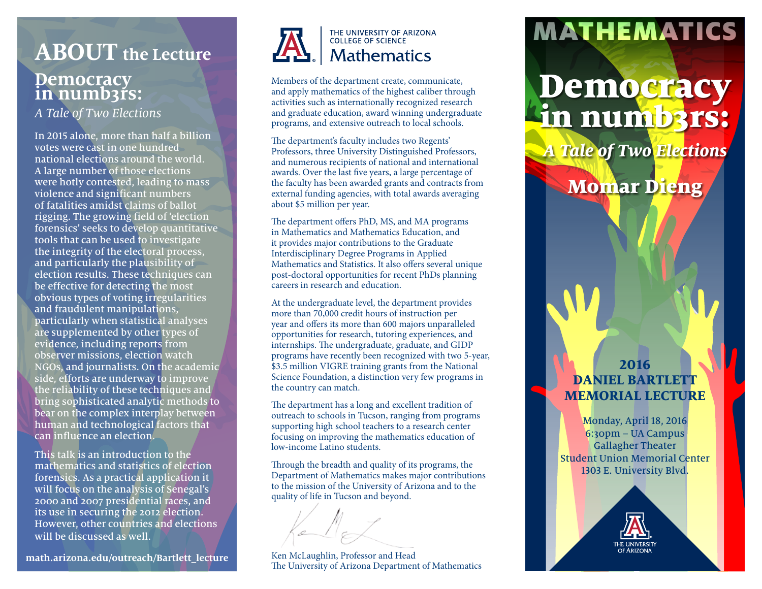## **Democracy**  in numb3rs: **ABOUT the Lecture**

*A Tale of Two Elections* 

In 2015 alone, more than half a billion votes were cast in one hundred national elections around the world. A large number of those elections were hotly contested, leading to mass violence and significant numbers of fatalities amidst claims of ballot rigging. The growing field of 'election forensics' seeks to develop quantitative tools that can be used to investigate the integrity of the electoral process, and particularly the plausibility of election results. These techniques can be effective for detecting the most obvious types of voting irregularities and fraudulent manipulations, particularly when statistical analyses are supplemented by other types of evidence, including reports from observer missions, election watch NGOs, and journalists. On the academic side, efforts are underway to improve the reliability of these techniques and bring sophisticated analytic methods to bear on the complex interplay between human and technological factors that can influence an election.

This talk is an introduction to the mathematics and statistics of election forensics. As a practical application it will focus on the analysis of Senegal's 2000 and 2007 presidential races, and its use in securing the 2012 election. However, other countries and elections will be discussed as well.

**math.arizona.edu/outreach/Bartlett\_lecture**



#### THE UNIVERSITY OF ARIZONA COLLEGE OF SCIENCE **Mathematics**

Members of the department create, communicate, and apply mathematics of the highest caliber through activities such as internationally recognized research and graduate education, award winning undergraduate programs, and extensive outreach to local schools.

The department's faculty includes two Regents' Professors, three University Distinguished Professors, and numerous recipients of national and international awards. Over the last five years, a large percentage of the faculty has been awarded grants and contracts from external funding agencies, with total awards averaging about \$5 million per year.

The department offers PhD, MS, and MA programs in Mathematics and Mathematics Education, and it provides major contributions to the Graduate Interdisciplinary Degree Programs in Applied Mathematics and Statistics. It also offers several unique post-doctoral opportunities for recent PhDs planning careers in research and education.

At the undergraduate level, the department provides more than 70,000 credit hours of instruction per year and offers its more than 600 majors unparalleled opportunities for research, tutoring experiences, and internships. The undergraduate, graduate, and GIDP programs have recently been recognized with two 5-year, \$3.5 million VIGRE training grants from the National Science Foundation, a distinction very few programs in the country can match.

The department has a long and excellent tradition of outreach to schools in Tucson, ranging from programs supporting high school teachers to a research center focusing on improving the mathematics education of low-income Latino students.

Through the breadth and quality of its programs, the Department of Mathematics makes major contributions to the mission of the University of Arizona and to the quality of life in Tucson and beyond.

Ken McLaughlin, Professor and Head The University of Arizona Department of Mathematics

## MATHEMATICS

# Democracy in numb3rs:

*A Tale of Two Elections*

### Momar Dieng

### **2016 DANIEL BARTLET MEMORIAL LECTURE**

Monday, April 18, 2016 6:30pm – UA Campus Gallagher Theater Student Union Memorial Center 1303 E. University Blvd.